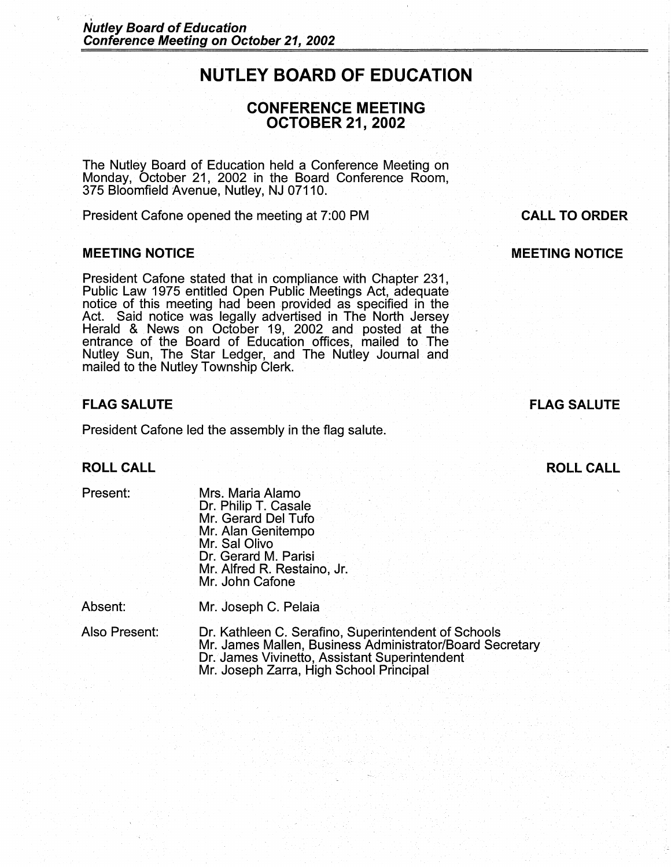# **NUTLEY BOARD OF EDUCATION**

# **CONFERENCE MEETING OCTOBER 21, 2002**

The Nutley Board of Education held a Conference Meeting on Monday, October 21, 2002 in the Board Conference Room, 375 Bloomfield Avenue, Nutley, NJ 07110.

President Cafone opened the meeting at 7:00 PM

#### **MEETING NOTICE**

President Cafone stated that in compliance with Chapter 231, Public Law 1975 entitled Open Public Meetings Act, adequate notice of this meeting had been provided as specified in the Act. Said notice was legally advertised in The North Jersey Herald & News on October 19, 2002 and posted at the entrance of the Board of Education offices; mailed to The Nutley Sun, The Star Ledger, and The Nutley Journal and mailed to the Nutley Township Clerk.

# **FLAG SALUTE**

President Cafone led the assembly in the flag salute.

### **ROLL CALL**

Present:

Mrs. Maria Alamo Dr. Philip T. Casale Mr. Gerard Del Tufo Mr. Alan Genitempo Mr. Sal Olivo Dr. Gerard M. Parisi Mr. Alfred R. Restaino, Jr. Mr. John Cafone

Absent: Mr. Joseph C. Pelaia

Also Present: Dr. Kathleen C. Serafino, Superintendent of Schools Mr. James Mallen, Business Administrator/Board Secretary Dr. James Vivinetto, Assistant Superintendent Mr. Joseph Zarra, High School Principal

# **CALL TO ORDER**

# **MEETING NOTICE**

# **FLAG SALUTE**

# **ROLL CALL**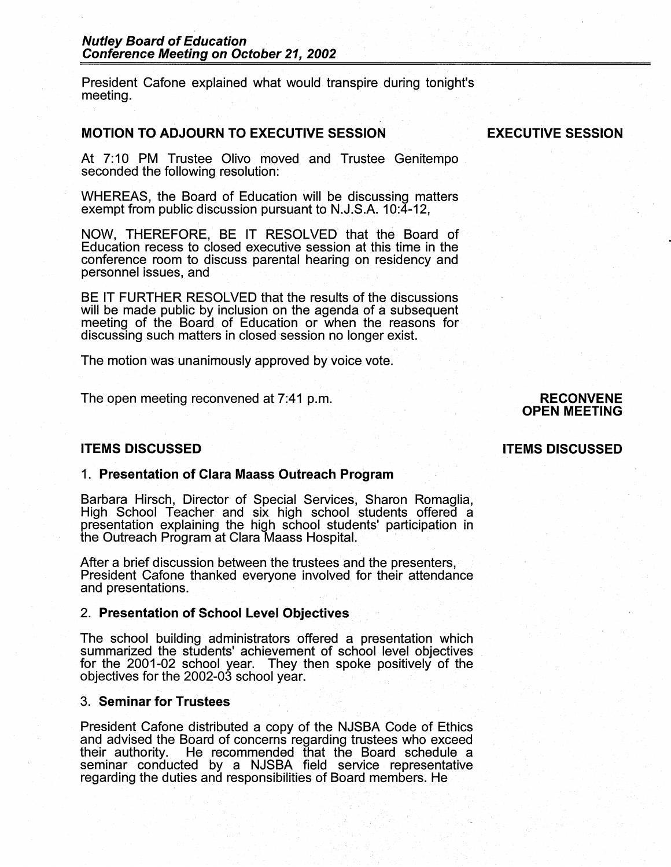President Cafone explained what would transpire during tonight's meeting.

# **MOTION TO ADJOURN TO EXECUTIVE SESSION**

#### **EXECUTIVE SESSION**

At 7:10 PM Trustee Olivo moved and Trustee Genitempo seconded the following resolution:

WHEREAS, the Board of Education will be discussing matters exempt from public discussion pursuant to N.J.S.A. 10:4-12,

NOW, THEREFORE, BE IT RESOLVED that the Board of Education recess to closed executive session at this time in the conference room to discuss parental hearing on residency and personnel issues, and

BE IT FURTHER RESOLVED that the results of the discussions will be made public by inclusion on the agenda of a subsequent meeting of the Board of Education or when the reasons for discussing such matters in closed session no longer exist.

The motion was unanimously approved by voice vote.

The open meeting reconvened at 7:41 p.m.

#### **RECONVENE OPEN MEETING**

#### **ITEMS DISCUSSED**

#### 1. **Presentation of Clara Maass Outreach Program**

Barbara Hirsch, Director of Special Services, Sharon Romaglia, High School Teacher and six high school students offered a presentation explaining the high school students' participation in the Outreach Program at Clara Maass Hospital.

After a brief discussion between the trustees and the presenters, President Cafone thanked everyone involved for their attendance and presentations.

#### 2. **Presentation of School Level Objectives**

The school building administrators offered a presentation which summarized the students' achievement of school level objectives for the 2001-02 school year. They then spoke positively of the objectives for the 2002-03 school year.

#### 3. **Seminar for Trustees**

President Cafone distributed a copy of the NJSBA Code of Ethics and advised the Board of concerns regarding trustees who exceed their authority. He recommended that the Board schedule a He recommended that the Board schedule a seminar conducted by a NJSBA field service representative regarding the duties and responsibilities of Board members. He

#### **ITEMS DISCUSSED**